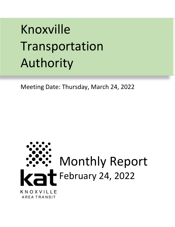# Knoxville Transportation Authority

Meeting Date: Thursday, March 24, 2022

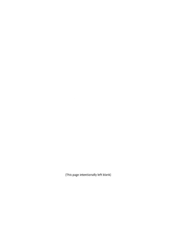(This page intentionally left blank)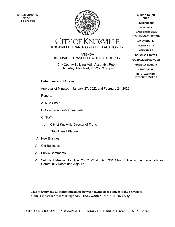INDYA KINCANNON MAYOR (865)215-2040





Y KNOXVILLE TRANSPORTATION AUTHORITY

#### AGENDA KNOXVILLE TRANSPORTATION AUTHORITY

City County Building Main Assembly Room Thursday, March 24, 2022 at 3:00 pm

- I. Determination of Quorum
- II. Approval of Minutes January 27, 2022 and February 24, 2022
- III. Reports

A. KTA Chair

B. Commissioner's Comments

C. Staff

- i. City of Knoxville Director of Transit
- ii. TPO Transit Planner
- IV. New Busines
- V. Old Business
- VI. Public Comments
- VII. Set Next Meeting for April 28, 2022 at KAT, 301 Church Ave in the Essie Johnson Community Room and Adjourn

**This meeting and all communications between members is subject to the provisions of the Tennessee OpenMeetings Act, TENN. CODE ANN. § 8-44-101,** et seq**.**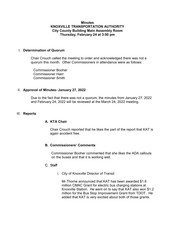### **Minutes KNOXVILLE TRANSPORTATION AUTHORITY City County Building Main Assembly Room Thursday, February 24 at 3:00 pm**

#### I. **Determination of Quorum**

Chair Crouch called the meeting to order and acknowledged there was not a quorum this month. Other Commissioners in attendance were as follows:

Commissioner Booher Commissioner Hairr Commissioner Smith

#### II. **Approval of Minutes- January 27, 2022**

Due to the fact that there was not a quorum, the minutes from January 27, 2022 and February 24, 2022 will be reviewed at the March 24, 2022 meeting.

#### III. **Reports**

### **A. KTA Chair**

Chair Crouch reported that he likes the part of the report that KAT is again accident free.

### **B. Commissioners' Comments**

Commissioner Booher commented that she likes the ADA callouts on the buses and that it is working well.

### C. Staff

i. City of Knoxville Director of Transit

Mr.Thorne announced that KAT has been awarded \$1.6 million CMAC Grant for electric bus charging stations at Knoxville Station. He went on to say that KAT also won \$1.2 million for the Bus Stop Improvement Grant from TDOT. He added that KAT is very excited about both of those grants.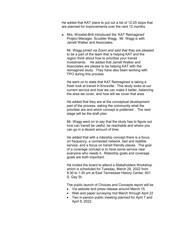He added that KAT plans to put out a list of 12-25 stops that are planned for improvements over the next 12 months.

a. Mrs. Woodiel-Brill introduced the 'KAT Reimagined' Project Manager, Scudder Wagg. Mr. Wagg is with Jarrett Walker and Associates.

Mr. Wagg joined via Zoom and said that they are pleased to be a part of the team that is helping KAT and the region think about how to prioritize your transit investments. He added that Jarrett Walker and Associates are please to be helping KAT with the reimagined study. They have also been working with TPO during this process.

He went on to state that KAT Reimagined is taking a fresh look at transit in Knoxville. This study looks at our current service and how we can make it better, balancing the area we cover, and how will we cover that area.

He added that they are at the conceptual development part of the process, asking the community what the priorities are and which concept is preferred. The next stage will be the draft plan.

Mr. Wagg went on to say that the study has to figure out how can transit be useful, be reachable and where you can go in a decent amount of time.

He added that with a ridership concept there is a focus on frequency, a connected network, fast and realible service, and a focus on transit friendly places. The goal of a coverage concept is to have some service near everyone who needs it. Ridership goals and coverage goals are both important.

He invited the board to attend a Stakeholders Workshop which is scheduled for Tuesday, March 29, 2022 from 8:30 to 1:30 pm at East Tennessee History Center, 601 S. Gay St.

The public launch of Choices and Concepts report will be

- Via website and press release around March 15,
- Web and paper surveying mid March through April 22
- Two in-person public meeting planned for April 7 and April 9, 2022.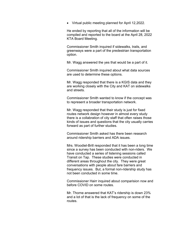• Virtual public meeting planned for April 12,2022.

He ended by reporting that all of the information will be compiled and reported to the board at the April 28, 2022 KTA Board Meeting.

Commissioner Smith inquired if sidewalks, trails, and greenways were a part of the predestrian transportation option.

Mr. Wagg answered the yes that would be a part of it.

Commissioner Smith inquired about what data sources are used to determine these options.

Mr. Wagg responded that there is a KGIS data and they are working closely with the City and KAT on sidewalks and streets.

Commissioner Smith wanted to know if the concept was to represent a broader transportation network.

Mr. Wagg responded that their study is just for fixed routes network design however in almost every study there is a collabration of city staff that often raises those kinds of issues and questions that the city usually carries forward as part of further studies.

Commissioner Smith asked has there been research around ridership barriers and ADA issues.

Mrs. Woodiel-Brill responded that it has been a long time since a survey has been conducted with non-riders. We have conducted a series of listening sessions called Transit on Tap. These studies were conducted in different areas throughout the city. They were great conversations with people about fare barriers and frequency issues. But, a formal non-ridership study has not been conducted in some time.

Commissioner Hairr inquired about comparision now and before COVID on some routes.

Mr. Thorne answered that KAT's ridership is down 23% and a lot of that is the lack of frequency on some of the routes.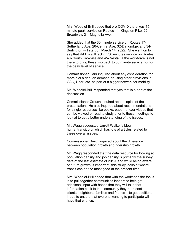Mrs. Woodiel-Brill added that pre-COVID there was 15 minute peak service on Routes 11- Kingston Pike, 22- Broadway, 31- Magnolia Ave.

She added that the 30 minute service on Routes 17- Sutherland Ave, 20-Central Ave, 32-Dandridge, and 34- Burlington will start on March 14, 2022. She went on to say that KAT is still lacking 30 minutes service on Routes 40- South Knoxville and 45- Vestal, a the workforce is not there to bring these two back to 30 minute service nor for the peak level of service.

Commissioner Hairr inquired about any consideration for more dial a ride, on demand or using other provisions ie. CAC, Uber, etc. as part of a bigger network for mobility.

Ms. Woodiel-Brill responded that yes that is a part of the descussion.

Commissioner Crouch inquired about copies of the presentation. He also inquired about recommendations for single resources like books, paper, and/or videos that can be viewed or read to study prior to these meetings to look at to get a better understanding of the issues.

Mr. Wagg suggested Jarrett Walker's blog: humantransit.org, which has lots of articles related to these overall issues.

Commissioner Smith inquired about the difference between population growth and ridership growth.

Mr. Wagg responded that the data resource for looking at population density and job density is primarily the survey date of the last estimate of 2019, and while being aware of future growth is important, this study looks at where transit can do the most good at the present time.

Mrs. Woodiel-Brill added that with the workshop the focus is to pull together communities leaders to help get additional input with hopes that they will take that information back to the community they represent clients, neighbors, families and friends - to get additional input, to ensure that everone wanting to participate will have that chance.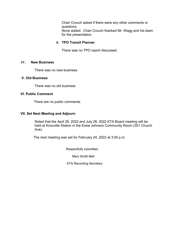Chair Crouch asked if there were any other comments or questions. None added. Chair Crouch thanked Mr. Wagg and his team for the presentation.

## **ii. TPO Transit Planner**

There was no TPO report discussed.

#### **IV. New Business**

There was no new business.

### **V. Old Business**

There was no old business

#### **VI. Public Comment**

There are no public comments.

#### **VII. Set Next Meeting and Adjourn**

Noted that the April 28, 2022 and July 28, 2022 KTA Board meeting will be held at Knoxville Station in the Essie Johnson Community Room (301 Church Ave).

The next meeting was set for February 24, 2022 at 3:00 p.m.

Respectfully submitted,

Mary Smith-Bell

KTA Recording Secretary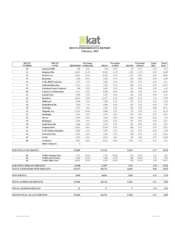# **XX**kat **ROUTE PERFORMANCE REPORT February, 2022**

| <b>ROUTE</b><br><b>NUMBER</b>       | <b>ROUTE</b><br><b>NAME</b>      | <b>RIDERSHIP</b> | Percentage<br>of Ridership | <b>MILES</b> | Percentage<br>of Miles | <b>HOURS</b> | Percentage<br>of Hours | Passg/<br>Mile | Passg/<br>Hour |
|-------------------------------------|----------------------------------|------------------|----------------------------|--------------|------------------------|--------------|------------------------|----------------|----------------|
| 10                                  | <b>Sequovah Hills</b>            | 308              | 0.2%                       | 910          | 0.5%                   | 92           | 0.7%                   | 0.34           | 3.36           |
| 11                                  | <b>Kingston Pike</b>             | 16,563           | 12.5%                      | 19,021       | 11.1%                  | 1,593        | 12.2%                  | 0.87           | 10.40          |
| 12                                  | <b>Western Ave</b>               | 13,633           | 10.3%                      | 16,595       | 9.7%                   | 1,253        | 9.6%                   | 0.82           | 10.88          |
| 13                                  | <b>Beaumont</b>                  | 1,208            | 0.9%                       | 3,532        | 2.1%                   | 258          | 2.0%                   | 0.34           | 4.69           |
| 16                                  | <b>Cedar Bluff Connector</b>     | 2,197            | 1.7%                       | 4,426        | 2.6%                   | 348          | 2.7%                   | 0.50           | 6.31           |
| 17                                  | Sutherland/Bearden               | 4,123            | 3.1%                       | 5,292        | 3.1%                   | 408          | 3.1%                   | 0.78           | 10.11          |
| 19                                  | <b>Lakeshore/Lonas Connector</b> | 440              | 0.3%                       | 4,441        | 2.6%                   | 261          | 2.0%                   | 0.10           | 1.68           |
| 20                                  | <b>Central Ave/Clinton Hwy</b>   | 8,317            | 6.3%                       | 8,204        | 4.8%                   | 506          | 3.9%                   | 1.01           | 16.43          |
| 21                                  | <b>Lincoln Park</b>              | 1,990            | 1.5%                       | 4,155        | 2.4%                   | 326          | 2.5%                   | 0.48           | 6.10           |
| 22                                  | <b>Broadway</b>                  | 19,163           | 14.5%                      | 14,271       | 8.3%                   | 1,065        | 8.1%                   | 1.34           | 17.99          |
| 23                                  | Millertown                       | 4,390            | 3.3%                       | 7,990        | 4.7%                   | 675          | 5.2%                   | 0.55           | 6.50           |
| 24                                  | Inskip/Breda Rd                  | 2,264            | 1.7%                       | 5,883        | 3.4%                   | 425          | 3.3%                   | 0.38           | 5.32           |
| 30                                  | Parkridge                        | 2,472            | 1.9%                       | 3,103        | 1.8%                   | 244          | 1.9%                   | 0.80           | 10.13          |
| 31                                  | Magnolia Ave.                    | 13,741           | 10.4%                      | 9,004        | 5.3%                   | 758          | 5.8%                   | 1.53           | 18.14          |
| 32                                  | <b>Dandridge</b>                 | 3,343            | 2.5%                       | 4,729        | 2.8%                   | 303          | 2.3%                   | 0.71           | 11.03          |
| 33                                  | M.L.K.                           | 3,291            | 2.5%                       | 7,645        | 4.5%                   | 601          | 4.6%                   | 0.43           | 5.47           |
| 34                                  | <b>Burlington</b>                | 3,354            | 2.5%                       | 5,658        | 3.3%                   | 387          | 3.0%                   | 0.59           | 8.67           |
| 40                                  | <b>South Knoxville</b>           | 2,406            | 1.8%                       | 5,579        | 3.3%                   | 397          | 3.0%                   | 0.43           | 6.07           |
| 41                                  | <b>Chapman Hwy</b>               | 12,633           | 9.6%                       | 13,070       | 7.6%                   | 800          | 6.1%                   | 0.97           | 15.80          |
| 42                                  | <b>UT/Ft Sanders Hospitals</b>   | 4,036            | 3.1%                       | 5,947        | 3.5%                   | 742          | 5.7%                   | 0.68           | 5.44           |
| 44                                  | <b>University Park</b>           | 3,439            | 2.6%                       | 2,520        | 1.5%                   | 290          | 2.2%                   | 1.36           | 11.86          |
| 45                                  | <b>Vestal</b>                    | 3,497            | 2.6%                       | 4,817        | 2.8%                   | 336          | 2.6%                   | 0.73           | 10.40          |
| 90                                  | Crosstown                        | 5,281            | 4.0%                       | 14,323       | 8.4%                   | 1,011        | 7.7%                   | 0.37           | 5.22           |
|                                     | Other/ Unknown                   | $\boldsymbol{0}$ |                            |              |                        |              |                        |                |                |
| <b>SUB TOTAL LINE SERVICE</b>       |                                  | 132,089          |                            | 171,114      |                        | 13,079       |                        | 0.77           | 10.10          |
| 82                                  | <b>Trolley (Orange Line)</b>     | 7,177            | 36.4%                      | 5,733        | 49.4%                  | 913          | 52.2%                  | 1.25           | 7.86           |
| 84                                  | <b>Trolley (Green Line)</b>      | 2,290            | 11.6%                      | 1,683        | 14.5%                  | 288          | 16.4%                  | 1.36           | 7.96           |
| 86                                  | <b>Trolley (Blue Line)</b>       | 10,241           | 52.0%                      | 4,181        | 36.0%                  | 550          | 31.4%                  | 2.45           | 18.62          |
| <b>SUB TOTAL TROLLEY SERVICES</b>   |                                  | 19,708           |                            | 11,597       |                        | 1,751        |                        | 1.70           | 11.25          |
| TOTAL PASSENGERS WITH TROLLEYS      |                                  | 151,797          |                            | 182,712      |                        | 14,831       |                        | 0.83           | 10.24          |
| <b>LIFT SERVICE</b>                 |                                  | 6.049            |                            | 40,012       |                        | 2.830        |                        | 0.15           | 2.14           |
| <b>TOTAL SCHEDULED SERVICES</b>     |                                  | 157,846          |                            | 222,724      |                        | 17,661       |                        | 0.71           | 8.94           |
| <b>TOTAL CHARTER SERVICES</b>       |                                  | 23               |                            | 17           |                        | 5            |                        | 1.35           | 5.11           |
| <b>GRAND TOTAL ALL KAT SERVICES</b> |                                  | 157,869          |                            | 222,741      |                        | 17,665       |                        | 0.71           | 8.94           |

*Prepared by: H. hhickson, Manager of Scheduling KTA FY 2021.xlsm3/23/2022*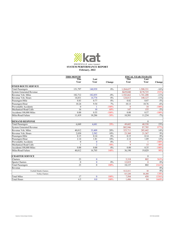

|                                 | <b>THIS MONTH</b> |                |         | <b>FISCAL YEAR-TO-DATE</b> |              |         |
|---------------------------------|-------------------|----------------|---------|----------------------------|--------------|---------|
|                                 | <b>This</b>       | Last           |         | <b>This</b>                | Last         |         |
|                                 | Year              | Year           | Change  | Year                       | Year         | Change  |
| <b>FIXED ROUTE SERVICE</b>      |                   |                |         |                            |              |         |
| <b>Total Passengers</b>         | 151,797           | 140,939        | 8%      | 1,264,657                  | 1,508,331    | $-16%$  |
| <b>System Generated Revenue</b> |                   |                |         | \$629,040                  | \$178,725    | 252%    |
| Revenue Veh. Miles              | 182,712           | 182,855        | $-0\%$  | 1,543,662                  | 1,741,208    | $-11%$  |
| Revenue Veh. Hours              | 14,831            | 14,774         | 0%      | 124,813                    | 140,127      | $-11%$  |
| Passengers/Mile                 | 0.83              | 0.77           | 8%      | 0.82                       | 0.87         | $-5%$   |
| Passengers/Hour                 | 10.24             | 9.54           | 7%      | 10.13                      | 10.76        | $-6%$   |
| Preventable Accidents           | $\Omega$          |                | $-100%$ | $\mathbf{0}$               | 10           | $-100%$ |
| <b>Mechanical Road Calls</b>    | 16                | 10             | 60%     | 147                        | 155          | $-5%$   |
| Accidents/100,000 Miles         | 0.00              | 0.55           | $-100%$ | 0.00                       | 0.57         | $-100%$ |
| Miles/Road Failure              | 11.419            | 18,286         | $-38%$  | 10,501                     | 11,234       | $-7%$   |
| <b>DEMAND RESPONSE</b>          |                   |                |         |                            | $\theta$     |         |
| <b>Total Passengers</b>         | 6.049             | 4.681          | 29%     | 49.602                     | 40,338       | 23%     |
| <b>System Generated Revenue</b> |                   |                |         | \$82,946                   | \$7,705      | 977%    |
| Revenue Veh. Miles              | 40.012            | 33,409         | 20%     | 325,711                    | 285,442      | 14%     |
| Revenue Veh. Hours              | 2.830             | 2,582          | 10%     | 23,360                     | 21.367       | 9%      |
| Passengers/Mile                 | 0.15              | 0.14           | 8%      | 0.15                       | 0.14         | 8%      |
| Passengers/Hour                 | 2.14              | 1.81           | 18%     | 2.12                       | 1.89         | 12%     |
| Preventable Accidents           | $\theta$          | $\mathbf{0}$   | 0%      | $\overline{0}$             |              | $-100%$ |
| Mechanical Road Calls           |                   | $\mathfrak{D}$ | $-50%$  | 9                          | 15           | $-40%$  |
| Accidents/100,000 Miles         | 0.00              | 0.00           | 0%      | 0.00                       | 0.35         | $-100%$ |
| Miles/Road Failure              | 40.012            | 16,705         | 140%    | 36.190                     | 19.029       | 90%     |
| <b>CHARTER SERVICE</b>          |                   |                |         |                            | $\theta$     |         |
| Charters                        | 23                | $\mathbf{0}$   |         | 5,318                      | 802          | 563%    |
| <b>Sports Charters</b>          | $\theta$          | $\mathbf{0}$   | $0\%$   | 12,819                     | $\mathbf{0}$ | 0%      |
| <b>Total Passengers</b>         | 23                | $\theta$       | 100%    | 18,137                     | 802          | 2161%   |
| Revenue                         |                   |                |         |                            |              | 0%      |
| Football Shuttle Charters       |                   |                |         | \$122,011                  | \$0          | $0\%$   |
| <b>Trolley Charters</b>         |                   |                |         | \$15,200                   | \$6,400      | 138%    |
| <b>Total Miles</b>              | 17                | $\mathbf{0}$   | 100%    | 7,584                      | 458          | 1556%   |
| <b>Total Hours</b>              | 4.5               | 0.0            | 100%    | 1.486                      | 84           | 1669%   |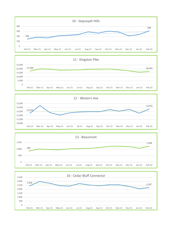







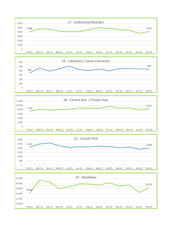







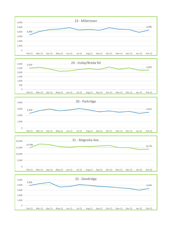







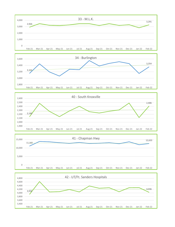







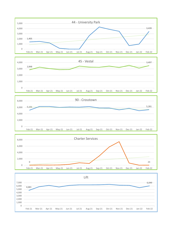







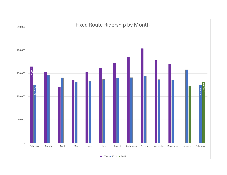

2020 2021 2022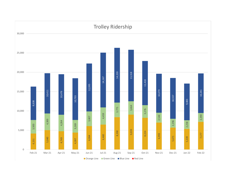